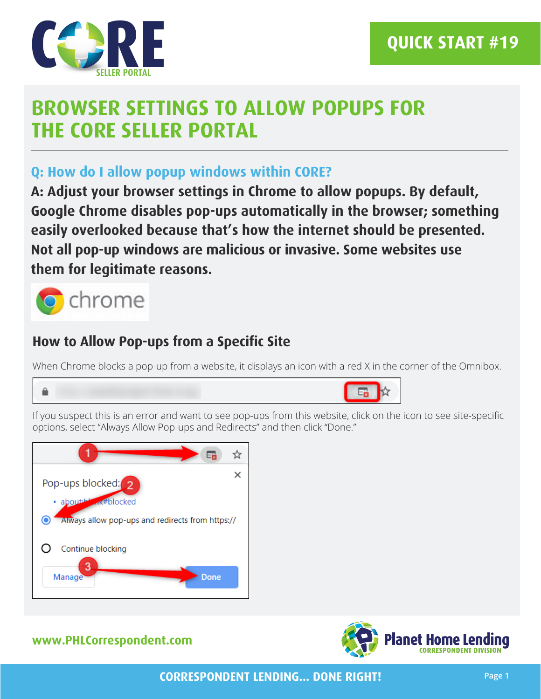

## **BROWSER SETTINGS TO ALLOW POPUPS FOR THE CORE SELLER PORTAL**

#### **Q: How do I allow popup windows within CORE?**

**A: Adjust your browser settings in Chrome to allow popups. By default, Google Chrome disables pop-ups automatically in the browser; something easily overlooked because that's how the internet should be presented. Not all pop-up windows are malicious or invasive. Some websites use them for legitimate reasons.**



#### **How to Allow Pop-ups from a Specific Site**

When Chrome blocks a pop-up from a website, it displays an icon with a red X in the corner of the Omnibox.



If you suspect this is an error and want to see pop-ups from this website, click on the icon to see site-specific options, select "Always Allow Pop-ups and Redirects" and then click "Done."



**www.PHLCorrespondent.com**